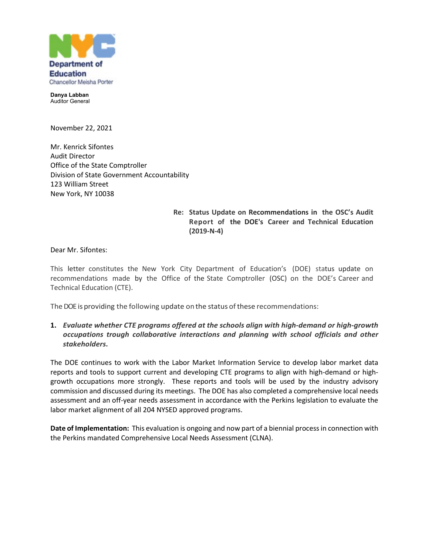

**Danya Labban** Auditor General

November 22, 2021

Mr. Kenrick Sifontes Audit Director Office of the State Comptroller Division of State Government Accountability 123 William Street New York, NY 10038

## **Re: Status Update on Recommendations in the OSC's Audit Report of the DOE's Career and Technical Education (2019-N-4)**

Dear Mr. Sifontes:

This letter constitutes the New York City Department of Education's (DOE) status update on recommendations made by the Office of the State Comptroller (OSC) on the DOE's Career and Technical Education (CTE).

The DOE is providing the following update on the status of these recommendations:

#### **1.** *Evaluate whether CTE programs offered at the schools align with high-demand or high-growth occupations trough collaborative interactions and planning with school officials and other stakeholders***.**

The DOE continues to work with the Labor Market Information Service to develop labor market data reports and tools to support current and developing CTE programs to align with high-demand or highgrowth occupations more strongly. These reports and tools will be used by the industry advisory commission and discussed during its meetings. The DOE has also completed a comprehensive local needs assessment and an off-year needs assessment in accordance with the Perkins legislation to evaluate the labor market alignment of all 204 NYSED approved programs.

**Date of Implementation:** This evaluation is ongoing and now part of a biennial process in connection with the Perkins mandated Comprehensive Local Needs Assessment (CLNA).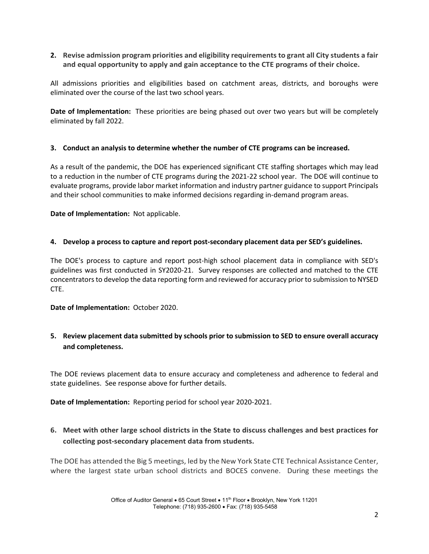**2. Revise admission program priorities and eligibility requirements to grant all City students a fair and equal opportunity to apply and gain acceptance to the CTE programs of their choice.**

All admissions priorities and eligibilities based on catchment areas, districts, and boroughs were eliminated over the course of the last two school years.

**Date of Implementation:** These priorities are being phased out over two years but will be completely eliminated by fall 2022.

#### **3. Conduct an analysis to determine whether the number of CTE programs can be increased.**

As a result of the pandemic, the DOE has experienced significant CTE staffing shortages which may lead to a reduction in the number of CTE programs during the 2021-22 school year. The DOE will continue to evaluate programs, provide labor market information and industry partner guidance to support Principals and their school communities to make informed decisions regarding in-demand program areas.

**Date of Implementation:** Not applicable.

### **4. Develop a process to capture and report post-secondary placement data per SED's guidelines.**

The DOE's process to capture and report post-high school placement data in compliance with SED's guidelines was first conducted in SY2020-21. Survey responses are collected and matched to the CTE concentrators to develop the data reporting form and reviewed for accuracy prior to submission to NYSED CTE.

**Date of Implementation:** October 2020.

## **5. Review placement data submitted by schools prior to submission to SED to ensure overall accuracy and completeness.**

The DOE reviews placement data to ensure accuracy and completeness and adherence to federal and state guidelines. See response above for further details.

**Date of Implementation:** Reporting period for school year 2020-2021.

# **6. Meet with other large school districts in the State to discuss challenges and best practices for collecting post-secondary placement data from students.**

The DOE has attended the Big 5 meetings, led by the New York State CTE Technical Assistance Center, where the largest state urban school districts and BOCES convene. During these meetings the